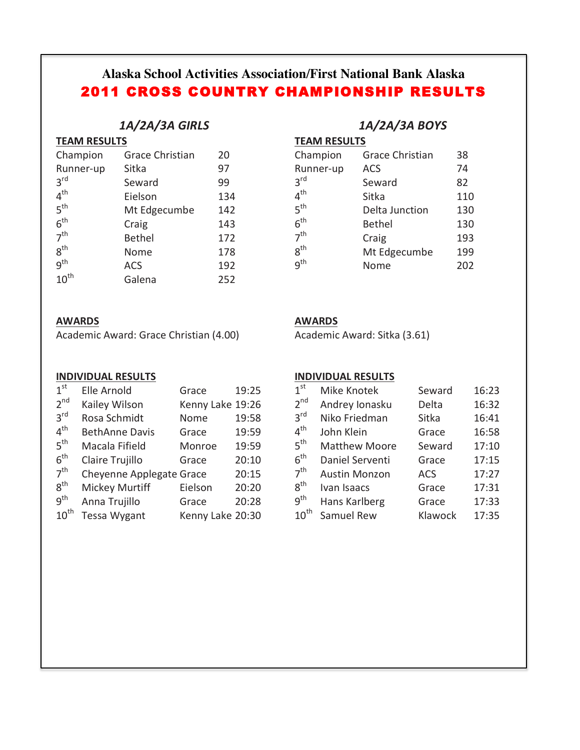# **Alaska School Activities Association/First National Bank Alaska** 2011 CROSS COUNTRY CHAMPIONSHIP RESULTS

## *1A/2A/3A GIRLS*

| <b>TEAM RESULTS</b> |
|---------------------|
|                     |

| Champion         | <b>Grace Christian</b> | 20  |
|------------------|------------------------|-----|
| Runner-up        | Sitka                  | 97  |
| 3 <sup>rd</sup>  | Seward                 | 99  |
| 4 <sup>th</sup>  | Eielson                | 134 |
| 5 <sup>th</sup>  | Mt Edgecumbe           | 142 |
| 6 <sup>th</sup>  | Craig                  | 143 |
| 7 <sup>th</sup>  | <b>Bethel</b>          | 172 |
| $8^{\text{th}}$  | Nome                   | 178 |
| q <sup>th</sup>  | <b>ACS</b>             | 192 |
| $10^{\text{th}}$ | Galena                 | 252 |

## **AWARDS**

Academic Award: Grace Christian (4.00)

#### **INDIVIDUAL RESULTS**

| 1 <sup>st</sup>  | Elle Arnold              | Grace            | 19:25 |
|------------------|--------------------------|------------------|-------|
| 2 <sup>nd</sup>  | Kailey Wilson            | Kenny Lake 19:26 |       |
| 3 <sup>rd</sup>  | Rosa Schmidt             | Nome             | 19:58 |
| $4^{\text{th}}$  | <b>BethAnne Davis</b>    | Grace            | 19:59 |
| 5 <sup>th</sup>  | Macala Fifield           | Monroe           | 19:59 |
| 6 <sup>th</sup>  | Claire Trujillo          | Grace            | 20:10 |
| 7 <sup>th</sup>  | Cheyenne Applegate Grace |                  | 20:15 |
| $8^{\text{th}}$  | <b>Mickey Murtiff</b>    | Eielson          | 20:20 |
| g <sup>th</sup>  | Anna Trujillo            | Grace            | 20:28 |
| $10^{\text{th}}$ | Tessa Wygant             | Kenny Lake 20:30 |       |

## *1A/2A/3A BOYS*

**TEAM RESULTS** 

| Champion        | <b>Grace Christian</b> | 38  |
|-----------------|------------------------|-----|
| Runner-up       | <b>ACS</b>             | 74  |
| 3 <sup>rd</sup> | Seward                 | 82  |
| $4^{\text{th}}$ | Sitka                  | 110 |
| 5 <sup>th</sup> | Delta Junction         | 130 |
| $6^{\text{th}}$ | <b>Bethel</b>          | 130 |
| 7 <sup>th</sup> | Craig                  | 193 |
| $8^{\text{th}}$ | Mt Edgecumbe           | 199 |
| q <sup>th</sup> | Nome                   | 202 |

#### **AWARDS**

Academic Award: Sitka (3.61)

#### **INDIVIDUAL RESULTS**

| 1 <sup>st</sup>  | Mike Knotek          | Seward     | 16:23 |
|------------------|----------------------|------------|-------|
| 2 <sup>nd</sup>  | Andrey Ionasku       | Delta      | 16:32 |
| $3^{\text{rd}}$  | Niko Friedman        | Sitka      | 16:41 |
| $4^{\text{th}}$  | John Klein           | Grace      | 16:58 |
| 5 <sup>th</sup>  | <b>Matthew Moore</b> | Seward     | 17:10 |
| $6^{\text{th}}$  | Daniel Serventi      | Grace      | 17:15 |
| 7 <sup>th</sup>  | <b>Austin Monzon</b> | <b>ACS</b> | 17:27 |
| $8^{\text{th}}$  | Ivan Isaacs          | Grace      | 17:31 |
| 9 <sup>th</sup>  | Hans Karlberg        | Grace      | 17:33 |
| $10^{\text{th}}$ | Samuel Rew           | Klawock    | 17:35 |